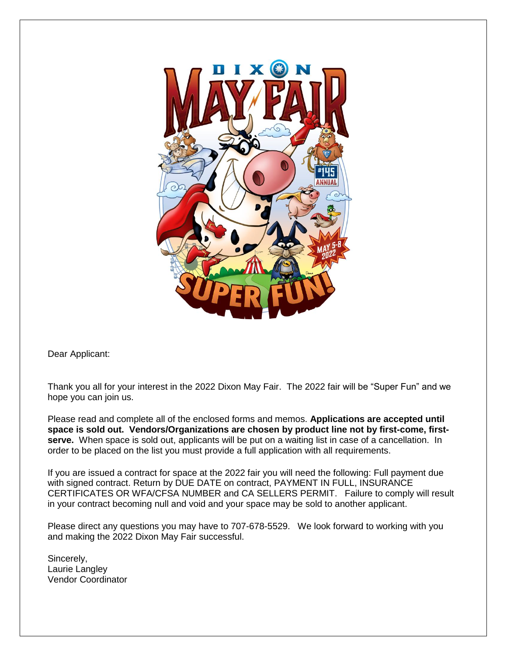

Dear Applicant:

Thank you all for your interest in the 2022 Dixon May Fair. The 2022 fair will be "Super Fun" and we hope you can join us.

Please read and complete all of the enclosed forms and memos. **Applications are accepted until space is sold out. Vendors/Organizations are chosen by product line not by first-come, firstserve.** When space is sold out, applicants will be put on a waiting list in case of a cancellation. In order to be placed on the list you must provide a full application with all requirements.

If you are issued a contract for space at the 2022 fair you will need the following: Full payment due with signed contract. Return by DUE DATE on contract, PAYMENT IN FULL, INSURANCE CERTIFICATES OR WFA/CFSA NUMBER and CA SELLERS PERMIT. Failure to comply will result in your contract becoming null and void and your space may be sold to another applicant.

Please direct any questions you may have to 707-678-5529. We look forward to working with you and making the 2022 Dixon May Fair successful.

Sincerely, Laurie Langley Vendor Coordinator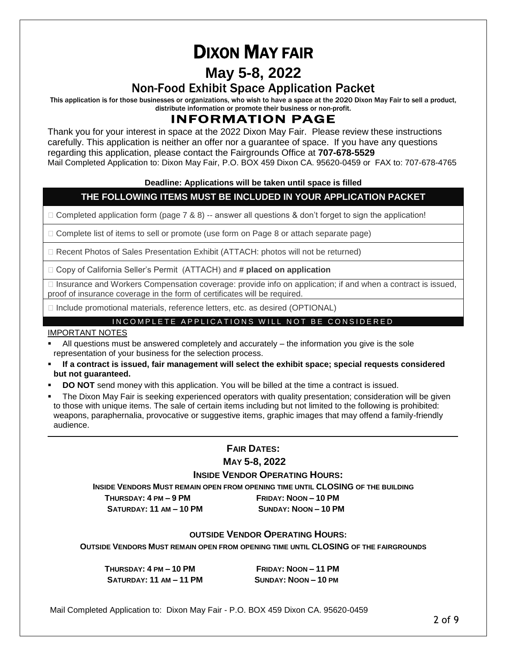# DIXON MAY FAIR

# **May 5-8, 2022**

# Non-Food Exhibit Space Application Packet

This application is for those businesses or organizations, who wish to have a space at the 2020 Dixon May Fair to sell a product, distribute information or promote their business or non-profit.

# INFORMATION PAGE

Thank you for your interest in space at the 2022 Dixon May Fair. Please review these instructions carefully. This application is neither an offer nor a guarantee of space. If you have any questions regarding this application, please contact the Fairgrounds Office at **707-678-5529**  Mail Completed Application to: Dixon May Fair, P.O. BOX 459 Dixon CA. 95620-0459 or FAX to: 707-678-4765

## **Deadline: Applications will be taken until space is filled**

# **THE FOLLOWING ITEMS MUST BE INCLUDED IN YOUR APPLICATION PACKET**

 $\Box$  Completed application form (page 7 & 8) -- answer all questions & don't forget to sign the application!

 $\Box$  Complete list of items to sell or promote (use form on Page 8 or attach separate page)

Recent Photos of Sales Presentation Exhibit (ATTACH: photos will not be returned)

Copy of California Seller's Permit (ATTACH) and **# placed on application**

 $\Box$  Insurance and Workers Compensation coverage: provide info on application; if and when a contract is issued, proof of insurance coverage in the form of certificates will be required.

 $\Box$  Include promotional materials, reference letters, etc. as desired (OPTIONAL)

## INCOMPLETE APPLICATIONS WILL NOT BE CONSIDERED

## IMPORTANT NOTES

- All questions must be answered completely and accurately the information you give is the sole representation of your business for the selection process.
- **If a contract is issued, fair management will select the exhibit space; special requests considered but not guaranteed.**
- **DO NOT** send money with this application. You will be billed at the time a contract is issued.
- The Dixon May Fair is seeking experienced operators with quality presentation; consideration will be given to those with unique items. The sale of certain items including but not limited to the following is prohibited: weapons, paraphernalia, provocative or suggestive items, graphic images that may offend a family-friendly audience.

# **FAIR DATES:**

**MAY 5-8, 2022**

## **INSIDE VENDOR OPERATING HOURS:**

**INSIDE VENDORS MUST REMAIN OPEN FROM OPENING TIME UNTIL CLOSING OF THE BUILDING**

 **THURSDAY: 4 PM – 9 PM FRIDAY: NOON – 10 PM SATURDAY: 11 AM – 10 PM SUNDAY: NOON – 10 PM**

## **OUTSIDE VENDOR OPERATING HOURS:**

**OUTSIDE VENDORS MUST REMAIN OPEN FROM OPENING TIME UNTIL CLOSING OF THE FAIRGROUNDS**

 **THURSDAY: 4 PM – 10 PM FRIDAY: NOON – 11 PM SATURDAY: 11 AM – 11 PM SUNDAY: NOON – 10 PM**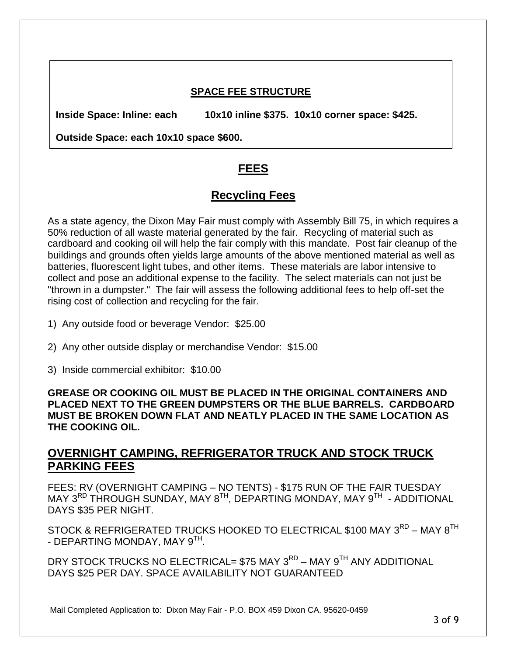# **SPACE FEE STRUCTURE**

**Inside Space: Inline: each 10x10 inline \$375. 10x10 corner space: \$425.**

**Outside Space: each 10x10 space \$600.** 

# **FEES**

# **Recycling Fees**

As a state agency, the Dixon May Fair must comply with Assembly Bill 75, in which requires a 50% reduction of all waste material generated by the fair. Recycling of material such as cardboard and cooking oil will help the fair comply with this mandate. Post fair cleanup of the buildings and grounds often yields large amounts of the above mentioned material as well as batteries, fluorescent light tubes, and other items. These materials are labor intensive to collect and pose an additional expense to the facility. The select materials can not just be "thrown in a dumpster." The fair will assess the following additional fees to help off-set the rising cost of collection and recycling for the fair.

- 1) Any outside food or beverage Vendor: \$25.00
- 2) Any other outside display or merchandise Vendor: \$15.00
- 3) Inside commercial exhibitor: \$10.00

**GREASE OR COOKING OIL MUST BE PLACED IN THE ORIGINAL CONTAINERS AND PLACED NEXT TO THE GREEN DUMPSTERS OR THE BLUE BARRELS. CARDBOARD MUST BE BROKEN DOWN FLAT AND NEATLY PLACED IN THE SAME LOCATION AS THE COOKING OIL.**

# **OVERNIGHT CAMPING, REFRIGERATOR TRUCK AND STOCK TRUCK PARKING FEES**

FEES: RV (OVERNIGHT CAMPING – NO TENTS) - \$175 RUN OF THE FAIR TUESDAY MAY 3<sup>RD</sup> THROUGH SUNDAY, MAY 8<sup>TH</sup>, DEPARTING MONDAY, MAY 9<sup>TH</sup> - ADDITIONAL DAYS \$35 PER NIGHT.

STOCK & REFRIGERATED TRUCKS HOOKED TO ELECTRICAL \$100 MAY  $3^{\mathsf{RD}}$  – MAY  $8^{\mathsf{TH}}$ - DEPARTING MONDAY, MAY 9<sup>TH</sup>.

DRY STOCK TRUCKS NO ELECTRICAL= \$75 MAY 3<sup>RD</sup> – MAY 9<sup>TH</sup> ANY ADDITIONAL DAYS \$25 PER DAY. SPACE AVAILABILITY NOT GUARANTEED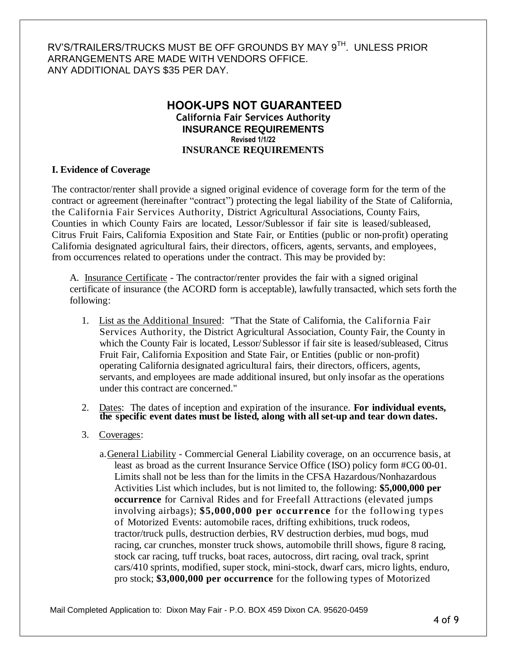# RV'S/TRAILERS/TRUCKS MUST BE OFF GROUNDS BY MAY 9<sup>TH</sup>. UNLESS PRIOR ARRANGEMENTS ARE MADE WITH VENDORS OFFICE. ANY ADDITIONAL DAYS \$35 PER DAY.

# **HOOK-UPS NOT GUARANTEED California Fair Services Authority INSURANCE REQUIREMENTS Revised 1/1/22 INSURANCE REQUIREMENTS**

## **I. Evidence of Coverage**

The contractor/renter shall provide a signed original evidence of coverage form for the term of the contract or agreement (hereinafter "contract") protecting the legal liability of the State of California, the California Fair Services Authority, District Agricultural Associations, County Fairs, Counties in which County Fairs are located, Lessor/Sublessor if fair site is leased/subleased, Citrus Fruit Fairs, California Exposition and State Fair, or Entities (public or non-profit) operating California designated agricultural fairs, their directors, officers, agents, servants, and employees, from occurrences related to operations under the contract. This may be provided by:

A. Insurance Certificate - The contractor/renter provides the fair with a signed original certificate of insurance (the ACORD form is acceptable), lawfully transacted, which sets forth the following:

- 1. List as the Additional Insured: "That the State of California, the California Fair Services Authority, the District Agricultural Association, County Fair, the County in which the County Fair is located, Lessor/Sublessor if fair site is leased/subleased, Citrus Fruit Fair, California Exposition and State Fair, or Entities (public or non-profit) operating California designated agricultural fairs, their directors, officers, agents, servants, and employees are made additional insured, but only insofar as the operations under this contract are concerned."
- 2. Dates: The dates of inception and expiration of the insurance. **For individual events, the specific event dates must be listed, along with all set-up and tear down dates.**
- 3. Coverages:
	- a.General Liability Commercial General Liability coverage, on an occurrence basis, at least as broad as the current Insurance Service Office (ISO) policy form #CG 00-01. Limits shall not be less than for the limits in the CFSA Hazardous/Nonhazardous Activities List which includes, but is not limited to, the following: **\$5,000,000 per occurrence** for Carnival Rides and for Freefall Attractions (elevated jumps involving airbags); **\$5,000,000 per occurrence** for the following types of Motorized Events: automobile races, drifting exhibitions, truck rodeos, tractor/truck pulls, destruction derbies, RV destruction derbies, mud bogs, mud racing, car crunches, monster truck shows, automobile thrill shows, figure 8 racing, stock car racing, tuff trucks, boat races, autocross, dirt racing, oval track, sprint cars/410 sprints, modified, super stock, mini-stock, dwarf cars, micro lights, enduro, pro stock; **\$3,000,000 per occurrence** for the following types of Motorized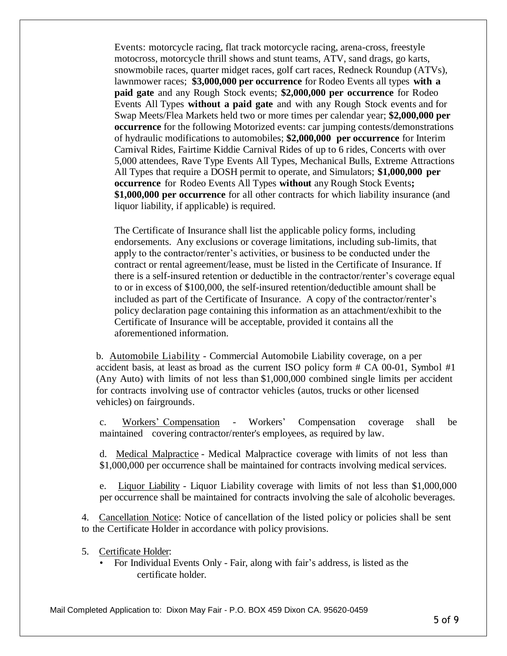Events: motorcycle racing, flat track motorcycle racing, arena-cross, freestyle motocross, motorcycle thrill shows and stunt teams, ATV, sand drags, go karts, snowmobile races, quarter midget races, golf cart races, Redneck Roundup (ATVs), lawnmower races; **\$3,000,000 per occurrence** for Rodeo Events all types **with a paid gate** and any Rough Stock events; **\$2,000,000 per occurrence** for Rodeo Events All Types **without a paid gate** and with any Rough Stock events and for Swap Meets/Flea Markets held two or more times per calendar year; **\$2,000,000 per occurrence** for the following Motorized events: car jumping contests/demonstrations of hydraulic modifications to automobiles; **\$2,000,000 per occurrence** for Interim Carnival Rides, Fairtime Kiddie Carnival Rides of up to 6 rides, Concerts with over 5,000 attendees, Rave Type Events All Types, Mechanical Bulls, Extreme Attractions All Types that require a DOSH permit to operate, and Simulators; **\$1,000,000 per occurrence** for Rodeo Events All Types **without** any Rough Stock Events**; \$1,000,000 per occurrence** for all other contracts for which liability insurance (and liquor liability, if applicable) is required.

The Certificate of Insurance shall list the applicable policy forms, including endorsements. Any exclusions or coverage limitations, including sub-limits, that apply to the contractor/renter's activities, or business to be conducted under the contract or rental agreement/lease, must be listed in the Certificate of Insurance. If there is a self-insured retention or deductible in the contractor/renter's coverage equal to or in excess of \$100,000, the self-insured retention/deductible amount shall be included as part of the Certificate of Insurance. A copy of the contractor/renter's policy declaration page containing this information as an attachment/exhibit to the Certificate of Insurance will be acceptable, provided it contains all the aforementioned information.

b. Automobile Liability - Commercial Automobile Liability coverage, on a per accident basis, at least as broad as the current ISO policy form  $# CA$  00-01, Symbol  $#1$ (Any Auto) with limits of not less than \$1,000,000 combined single limits per accident for contracts involving use of contractor vehicles (autos, trucks or other licensed vehicles) on fairgrounds.

c. Workers' Compensation - Workers' Compensation coverage shall be maintained covering contractor/renter's employees, as required by law.

d. Medical Malpractice - Medical Malpractice coverage with limits of not less than \$1,000,000 per occurrence shall be maintained for contracts involving medical services.

e. Liquor Liability - Liquor Liability coverage with limits of not less than \$1,000,000 per occurrence shall be maintained for contracts involving the sale of alcoholic beverages.

4. Cancellation Notice: Notice of cancellation of the listed policy or policies shall be sent to the Certificate Holder in accordance with policy provisions.

- 5. Certificate Holder:
	- For Individual Events Only Fair, along with fair's address, is listed as the certificate holder.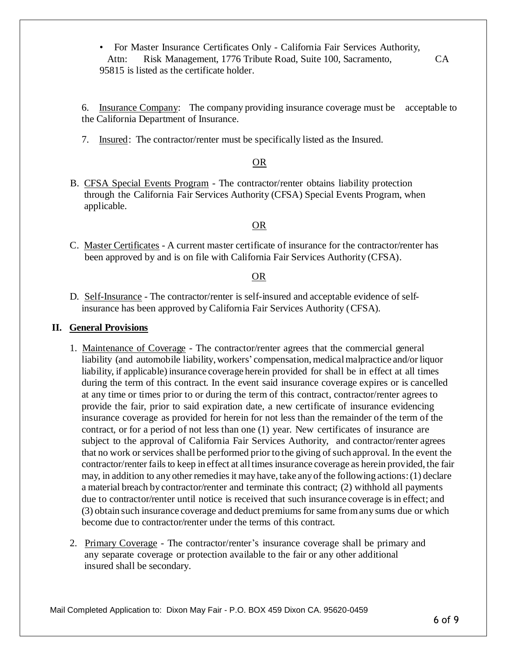• For Master Insurance Certificates Only - California Fair Services Authority, Attn: Risk Management, 1776 Tribute Road, Suite 100, Sacramento, CA 95815 is listed as the certificate holder.

6. Insurance Company: The company providing insurance coverage must be acceptable to the California Department of Insurance.

7. Insured: The contractor/renter must be specifically listed as the Insured.

## OR

B. CFSA Special Events Program - The contractor/renter obtains liability protection through the California Fair Services Authority (CFSA) Special Events Program, when applicable.

# OR

C. Master Certificates - A current master certificate of insurance for the contractor/renter has been approved by and is on file with California Fair Services Authority (CFSA).

#### OR

D. Self-Insurance - The contractor/renter is self-insured and acceptable evidence of selfinsurance has been approved by California Fair Services Authority (CFSA).

## **II. General Provisions**

- 1. Maintenance of Coverage The contractor/renter agrees that the commercial general liability (and automobile liability, workers' compensation, medical malpractice and/or liquor liability, if applicable) insurance coverage herein provided for shall be in effect at all times during the term of this contract. In the event said insurance coverage expires or is cancelled at any time or times prior to or during the term of this contract, contractor/renter agrees to provide the fair, prior to said expiration date, a new certificate of insurance evidencing insurance coverage as provided for herein for not less than the remainder of the term of the contract, or for a period of not less than one (1) year. New certificates of insurance are subject to the approval of California Fair Services Authority, and contractor/renter agrees that no work or services shall be performed prior to the giving of such approval. In the event the contractor/renter fails to keep in effect at all times insurance coverage as herein provided, the fair may, in addition to any other remediesit may have, take anyof the following actions:(1) declare a material breach by contractor/renter and terminate this contract; (2) withhold all payments due to contractor/renter until notice is received that such insurance coverage isin effect; and (3) obtain such insurance coverage and deduct premiumsforsame fromany sums due or which become due to contractor/renter under the terms of this contract.
- 2. Primary Coverage The contractor/renter's insurance coverage shall be primary and any separate coverage or protection available to the fair or any other additional insured shall be secondary.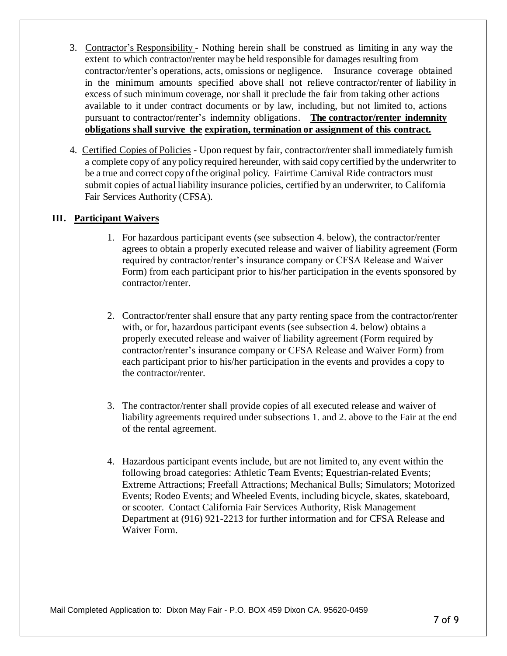- 3. Contractor's Responsibility Nothing herein shall be construed as limiting in any way the extent to which contractor/renter may be held responsible for damages resulting from contractor/renter's operations, acts, omissions or negligence. Insurance coverage obtained in the minimum amounts specified above shall not relieve contractor/renter of liability in excess of such minimum coverage, nor shall it preclude the fair from taking other actions available to it under contract documents or by law, including, but not limited to, actions pursuant to contractor/renter's indemnity obligations. **The contractor/renter indemnity obligations shall survive the expiration, termination or assignment of this contract.**
- 4. Certified Copies of Policies Upon request by fair, contractor/renter shall immediately furnish a complete copy of any policy required hereunder, with said copy certified by the underwriter to be a true and correct copy of the original policy. Fairtime Carnival Ride contractors must submit copies of actual liability insurance policies, certified by an underwriter, to California Fair Services Authority (CFSA).

# **III. Participant Waivers**

- 1. For hazardous participant events (see subsection 4. below), the contractor/renter agrees to obtain a properly executed release and waiver of liability agreement (Form required by contractor/renter's insurance company or CFSA Release and Waiver Form) from each participant prior to his/her participation in the events sponsored by contractor/renter.
- 2. Contractor/renter shall ensure that any party renting space from the contractor/renter with, or for, hazardous participant events (see subsection 4. below) obtains a properly executed release and waiver of liability agreement (Form required by contractor/renter's insurance company or CFSA Release and Waiver Form) from each participant prior to his/her participation in the events and provides a copy to the contractor/renter.
- 3. The contractor/renter shall provide copies of all executed release and waiver of liability agreements required under subsections 1. and 2. above to the Fair at the end of the rental agreement.
- 4. Hazardous participant events include, but are not limited to, any event within the following broad categories: Athletic Team Events; Equestrian-related Events; Extreme Attractions; Freefall Attractions; Mechanical Bulls; Simulators; Motorized Events; Rodeo Events; and Wheeled Events, including bicycle, skates, skateboard, or scooter. Contact California Fair Services Authority, Risk Management Department at (916) 921-2213 for further information and for CFSA Release and Waiver Form.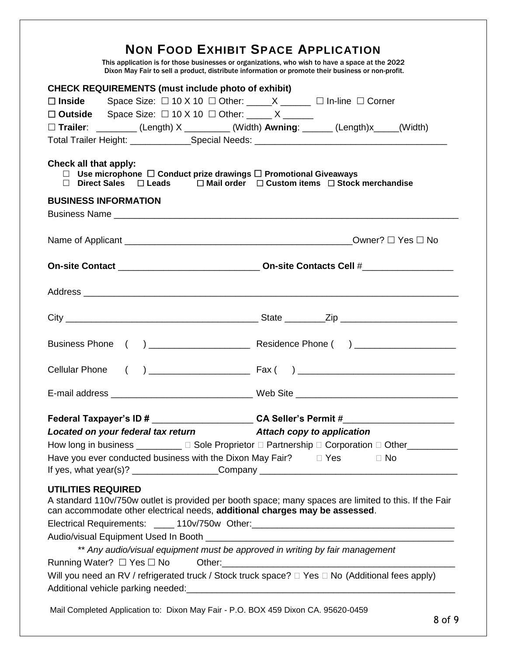| <b>NON FOOD EXHIBIT SPACE APPLICATION</b><br>This application is for those businesses or organizations, who wish to have a space at the 2022<br>Dixon May Fair to sell a product, distribute information or promote their business or non-profit.                                                                                                                                                                                                                                                                                                                                                                                                                                                                                       |  |  |  |  |
|-----------------------------------------------------------------------------------------------------------------------------------------------------------------------------------------------------------------------------------------------------------------------------------------------------------------------------------------------------------------------------------------------------------------------------------------------------------------------------------------------------------------------------------------------------------------------------------------------------------------------------------------------------------------------------------------------------------------------------------------|--|--|--|--|
| <b>CHECK REQUIREMENTS (must include photo of exhibit)</b>                                                                                                                                                                                                                                                                                                                                                                                                                                                                                                                                                                                                                                                                               |  |  |  |  |
| Space Size: $\Box$ 10 X 10 $\Box$ Other: _____ X ______ $\Box$ In-line $\Box$ Corner<br>$\square$ Inside                                                                                                                                                                                                                                                                                                                                                                                                                                                                                                                                                                                                                                |  |  |  |  |
| Space Size: $\Box$ 10 X 10 $\Box$ Other: _____ X _____<br>$\square$ Outside                                                                                                                                                                                                                                                                                                                                                                                                                                                                                                                                                                                                                                                             |  |  |  |  |
| $\Box$ Trailer: ________(Length) X ________(Width) Awning: _____(Length)x ___(Width)                                                                                                                                                                                                                                                                                                                                                                                                                                                                                                                                                                                                                                                    |  |  |  |  |
|                                                                                                                                                                                                                                                                                                                                                                                                                                                                                                                                                                                                                                                                                                                                         |  |  |  |  |
| Check all that apply:<br>Use microphone $\Box$ Conduct prize drawings $\Box$ Promotional Giveaways<br>$\Box$<br>$\Box$ Mail order $\Box$ Custom items $\Box$ Stock merchandise<br>Direct Sales $\Box$ Leads<br>П                                                                                                                                                                                                                                                                                                                                                                                                                                                                                                                        |  |  |  |  |
| <b>BUSINESS INFORMATION</b>                                                                                                                                                                                                                                                                                                                                                                                                                                                                                                                                                                                                                                                                                                             |  |  |  |  |
|                                                                                                                                                                                                                                                                                                                                                                                                                                                                                                                                                                                                                                                                                                                                         |  |  |  |  |
|                                                                                                                                                                                                                                                                                                                                                                                                                                                                                                                                                                                                                                                                                                                                         |  |  |  |  |
|                                                                                                                                                                                                                                                                                                                                                                                                                                                                                                                                                                                                                                                                                                                                         |  |  |  |  |
|                                                                                                                                                                                                                                                                                                                                                                                                                                                                                                                                                                                                                                                                                                                                         |  |  |  |  |
|                                                                                                                                                                                                                                                                                                                                                                                                                                                                                                                                                                                                                                                                                                                                         |  |  |  |  |
|                                                                                                                                                                                                                                                                                                                                                                                                                                                                                                                                                                                                                                                                                                                                         |  |  |  |  |
| <b>Cellular Phone</b>                                                                                                                                                                                                                                                                                                                                                                                                                                                                                                                                                                                                                                                                                                                   |  |  |  |  |
|                                                                                                                                                                                                                                                                                                                                                                                                                                                                                                                                                                                                                                                                                                                                         |  |  |  |  |
| Federal Taxpayer's ID # __________________________ CA Seller's Permit #____________________________                                                                                                                                                                                                                                                                                                                                                                                                                                                                                                                                                                                                                                     |  |  |  |  |
| Located on your federal tax return Mattach copy to application                                                                                                                                                                                                                                                                                                                                                                                                                                                                                                                                                                                                                                                                          |  |  |  |  |
| How long in business __________ □ Sole Proprietor □ Partnership □ Corporation □ Other__________                                                                                                                                                                                                                                                                                                                                                                                                                                                                                                                                                                                                                                         |  |  |  |  |
| Have you ever conducted business with the Dixon May Fair? $\Box$ Yes $\Box$ No                                                                                                                                                                                                                                                                                                                                                                                                                                                                                                                                                                                                                                                          |  |  |  |  |
| <b>UTILITIES REQUIRED</b><br>A standard 110v/750w outlet is provided per booth space; many spaces are limited to this. If the Fair<br>can accommodate other electrical needs, additional charges may be assessed.<br>Electrical Requirements: _____ 110v/750w Other: ________________________________<br>** Any audio/visual equipment must be approved in writing by fair management<br>Will you need an RV / refrigerated truck / Stock truck space? $\Box$ Yes $\Box$ No (Additional fees apply)<br>Additional vehicle parking needed:<br>and the manufacture of the manufacture of the manufacture of the manufacture of the manufacture of the manufacture of the manufacture of the manufacture of the manufacture of the manufac |  |  |  |  |
| Mail Completed Application to: Dixon May Fair - P.O. BOX 459 Dixon CA. 95620-0459                                                                                                                                                                                                                                                                                                                                                                                                                                                                                                                                                                                                                                                       |  |  |  |  |